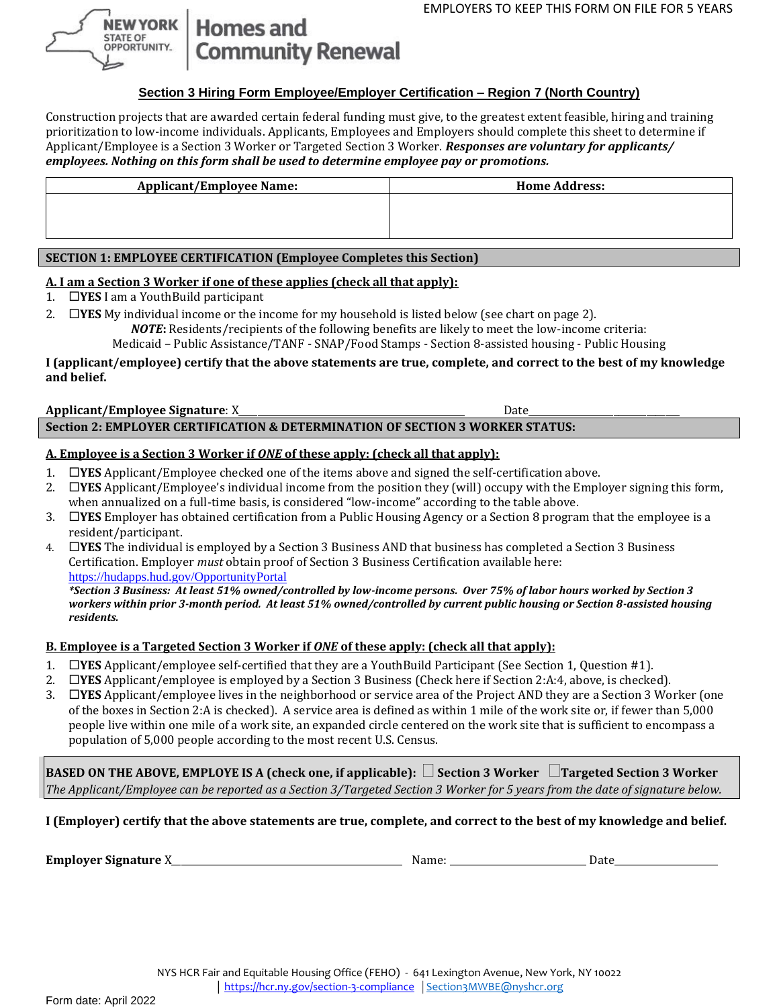

# **Homes and Community Renewal**

## **Section 3 Hiring Form Employee/Employer Certification – Region 7 (North Country)**

Construction projects that are awarded certain federal funding must give, to the greatest extent feasible, hiring and training prioritization to low-income individuals. Applicants, Employees and Employers should complete this sheet to determine if Applicant/Employee is a Section 3 Worker or Targeted Section 3 Worker. *Responses are voluntary for applicants/ employees. Nothing on this form shall be used to determine employee pay or promotions.*

| <b>Applicant/Employee Name:</b> | <b>Home Address:</b> |  |
|---------------------------------|----------------------|--|
|                                 |                      |  |
|                                 |                      |  |
|                                 |                      |  |

## **SECTION 1: EMPLOYEE CERTIFICATION (Employee Completes this Section)**

## **A. I am a Section 3 Worker if one of these applies (check all that apply):**

1. **YES** I am a YouthBuild participant

2. **IYES** My individual income or the income for my household is listed below (see chart on page 2).

*NOTE***:** Residents/recipients of the following benefits are likely to meet the low-income criteria:

Medicaid – Public Assistance/TANF - SNAP/Food Stamps - Section 8-assisted housing - Public Housing

#### **I (applicant/employee) certify that the above statements are true, complete, and correct to the best of my knowledge and belief.**

#### **Applicant/Employee Signature**: X\_\_\_\_\_\_\_\_\_\_\_\_\_\_\_\_\_\_\_\_\_\_\_\_\_\_\_\_\_\_\_\_\_\_\_\_\_\_\_\_\_\_\_\_\_\_\_\_ Date\_\_\_\_\_\_\_\_\_\_\_\_\_\_\_\_\_\_\_\_\_\_\_\_\_\_\_\_\_\_\_\_ **Section 2: EMPLOYER CERTIFICATION & DETERMINATION OF SECTION 3 WORKER STATUS:**

## **A. Employee is a Section 3 Worker if** *ONE* **of these apply: (check all that apply):**

- 1. **YES** Applicant/Employee checked one of the items above and signed the self-certification above.
- 2. **YES** Applicant/Employee's individual income from the position they (will) occupy with the Employer signing this form, when annualized on a full-time basis, is considered "low-income" according to the table above.
- 3. **YES** Employer has obtained certification from a Public Housing Agency or a Section 8 program that the employee is a resident/participant.
- 4. **YES** The individual is employed by a Section 3 Business AND that business has completed a Section 3 Business Certification. Employer *must* obtain proof of Section 3 Business Certification available here: [https://hudapps.hud.gov/OpportunityPortal](https://hudapps.hud.gov/OpportunityPortal/)

*\*Section 3 Business: At least 51% owned/controlled by low-income persons. Over 75% of labor hours worked by Section 3 workers within prior 3-month period. At least 51% owned/controlled by current public housing or Section 8-assisted housing residents.*

## **B. Employee is a Targeted Section 3 Worker if** *ONE* **of these apply: (check all that apply):**

- 1. **YES** Applicant/employee self-certified that they are a YouthBuild Participant (See Section 1, Question #1).
- 2. **YES** Applicant/employee is employed by a Section 3 Business (Check here if Section 2:A:4, above, is checked).
- 3. **YES** Applicant/employee lives in the neighborhood or service area of the Project AND they are a Section 3 Worker (one of the boxes in Section 2:A is checked). A service area is defined as within 1 mile of the work site or, if fewer than 5,000 people live within one mile of a work site, an expanded circle centered on the work site that is sufficient to encompass a population of 5,000 people according to the most recent U.S. Census.

**BASED ON THE ABOVE, EMPLOYE IS A (check one, if applicable): Section 3 Worker Targeted Section 3 Worker**  *The Applicant/Employee can be reported as a Section 3/Targeted Section 3 Worker for 5 years from the date of signature below.*

**I (Employer) certify that the above statements are true, complete, and correct to the best of my knowledge and belief.** 

**Employer Signature** X\_\_\_\_\_\_\_\_\_\_\_\_\_\_\_\_\_\_\_\_\_\_\_\_\_\_\_\_\_\_\_\_\_\_\_\_\_\_\_\_\_\_\_\_\_\_\_\_\_ Name: \_\_\_\_\_\_\_\_\_\_\_\_\_\_\_\_\_\_\_\_\_\_\_\_\_\_\_\_\_ Date\_\_\_\_\_\_\_\_\_\_\_\_\_\_\_\_\_\_\_\_\_\_